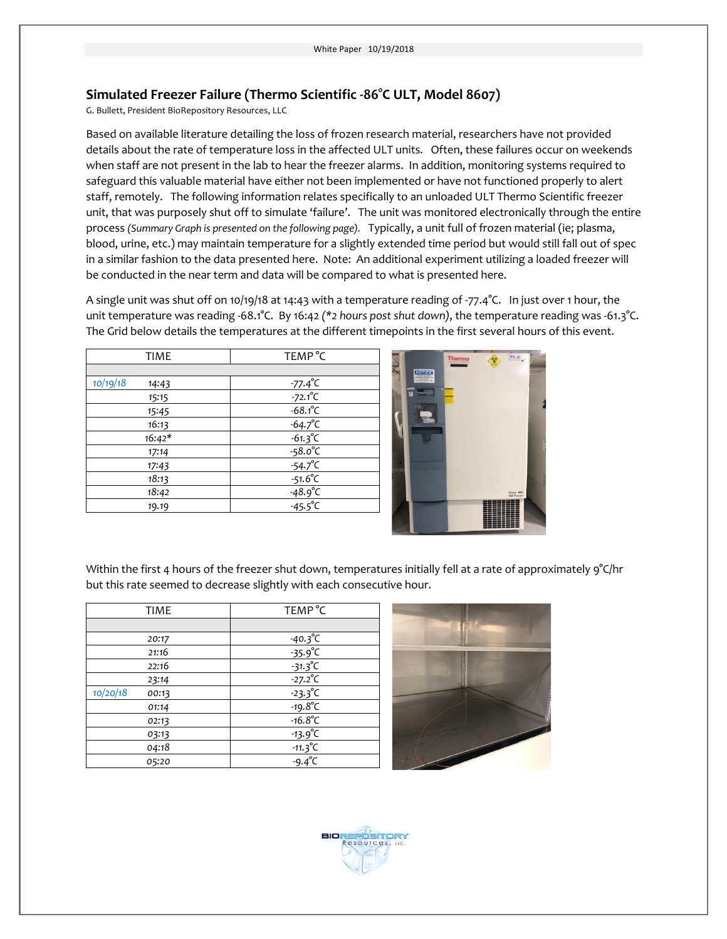## **Simulated Freezer Failure (Thermo Scientific -86°C ULT, Model 8607)**

G. Bullett, President BioRepository Resources, LLC

Based on available literature detailing the loss of frozen research material, researchers have not provided details about the rate of temperature loss in the affected ULT units. Often, these failures occur on weekends when staff are not present in the lab to hear the freezer alarms. In addition, monitoring systems required to safeguard this valuable material have either not been implemented or have not functioned properly to alert staff, remotely. The following information relates specifically to an unloaded ULT Thermo Scientific freezer unit, that was purposely shut off to simulate 'failure'. The unit was monitored electronically through the entire process *(Summary Graph is presented on the following page).* Typically, a unit full of frozen material (ie; plasma, blood, urine, etc.) may maintain temperature for a slightly extended time period but would still fall out of spec in a similar fashion to the data presented here. Note: An additional experiment utilizing a loaded freezer will be conducted in the near term and data will be compared to what is presented here.

A single unit was shut off on 10/19/18 at 14:43 with a temperature reading of -77.4°C. In just over 1 hour, the unit temperature was reading -68.1°C. By 16:42 *(\*2 hours post shut down)*, the temperature reading was -61.3°C. The Grid below details the temperatures at the different timepoints in the first several hours of this event.

| <b>TIME</b>       | TEMP <sup>°</sup> C                  |
|-------------------|--------------------------------------|
|                   |                                      |
| 10/19/18<br>14:43 | $-77.4^{\circ}C$                     |
| 15:15             | $-72.1^{\circ}C$                     |
| 15:45             | $-68.1^{\circ}C$                     |
| 16:13             | $-64.7^{\circ}C$                     |
| $16:42*$          | $-61.3^{\circ}C$                     |
| 17:14             | $-58.0^{\circ}C$                     |
| 17:43             | $-54.7^{\circ}C$                     |
| 18:13             | $-51.6^{\circ}C$                     |
| 18:42             |                                      |
| 19.19             | $-48.9^{\circ}C$<br>$-45.5^{\circ}C$ |



Within the first 4 hours of the freezer shut down, temperatures initially fell at a rate of approximately 9°C/hr but this rate seemed to decrease slightly with each consecutive hour.

| <b>TIME</b>       | TEMP <sup>°</sup> C |
|-------------------|---------------------|
|                   |                     |
| 20:17             | $-40.3^{\circ}C$    |
| 21:16             | $-35.9^{\circ}$ C   |
| 22:16             | $-31.3^{\circ}C$    |
| 23:14             | $-27.2^{\circ}C$    |
| 10/20/18<br>00:13 | $-23.3^{\circ}C$    |
| 01:14             | $-19.8^{\circ}C$    |
| 02:13             | $-16.8^{\circ}C$    |
| 03:13             | $-13.9^{\circ}C$    |
| 04:18             | $-11.3^{\circ}C$    |
| 05:20             | $-9.4^{\circ}C$     |